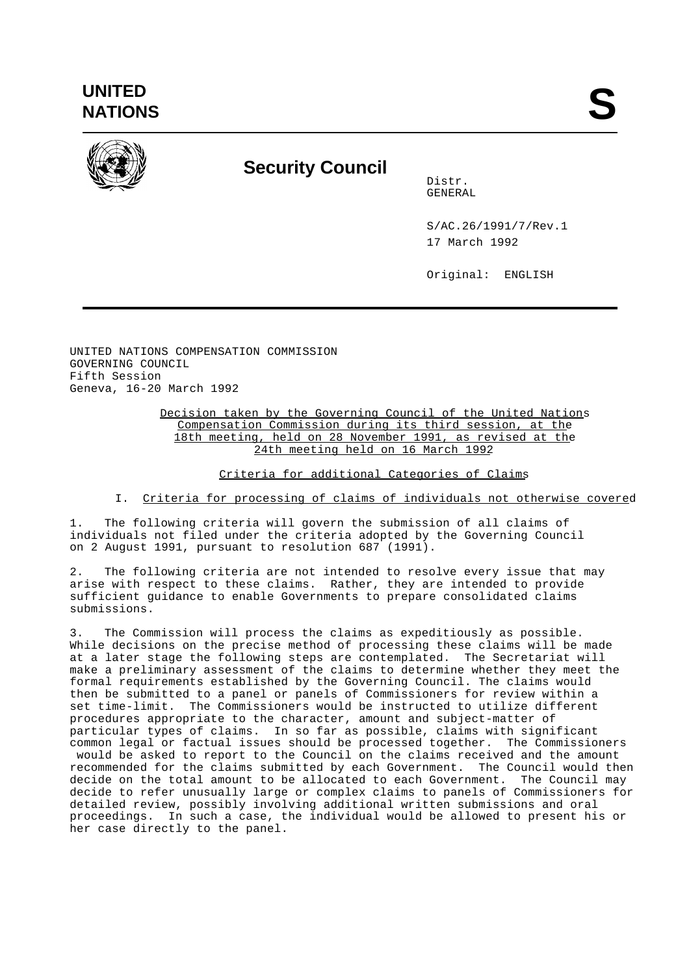

# **Security Council**

Distr. GENERAL

S/AC.26/1991/7/Rev.1 17 March 1992

Original: ENGLISH

UNITED NATIONS COMPENSATION COMMISSION GOVERNING COUNCIL Fifth Session Geneva, 16-20 March 1992

> Decision taken by the Governing Council of the United Nations Compensation Commission during its third session, at the 18th meeting, held on 28 November 1991, as revised at the 24th meeting held on 16 March 1992

> > Criteria for additional Categories of Claims

## I. Criteria for processing of claims of individuals not otherwise covered

1. The following criteria will govern the submission of all claims of individuals not filed under the criteria adopted by the Governing Council on 2 August 1991, pursuant to resolution 687 (1991).

2. The following criteria are not intended to resolve every issue that may arise with respect to these claims. Rather, they are intended to provide sufficient guidance to enable Governments to prepare consolidated claims submissions.

3. The Commission will process the claims as expeditiously as possible. While decisions on the precise method of processing these claims will be made at a later stage the following steps are contemplated. The Secretariat will make a preliminary assessment of the claims to determine whether they meet the formal requirements established by the Governing Council. The claims would then be submitted to a panel or panels of Commissioners for review within a set time-limit. The Commissioners would be instructed to utilize different procedures appropriate to the character, amount and subject-matter of particular types of claims. In so far as possible, claims with significant common legal or factual issues should be processed together. The Commissioners would be asked to report to the Council on the claims received and the amount recommended for the claims submitted by each Government. The Council would then decide on the total amount to be allocated to each Government. The Council may decide to refer unusually large or complex claims to panels of Commissioners for detailed review, possibly involving additional written submissions and oral proceedings. In such a case, the individual would be allowed to present his or her case directly to the panel.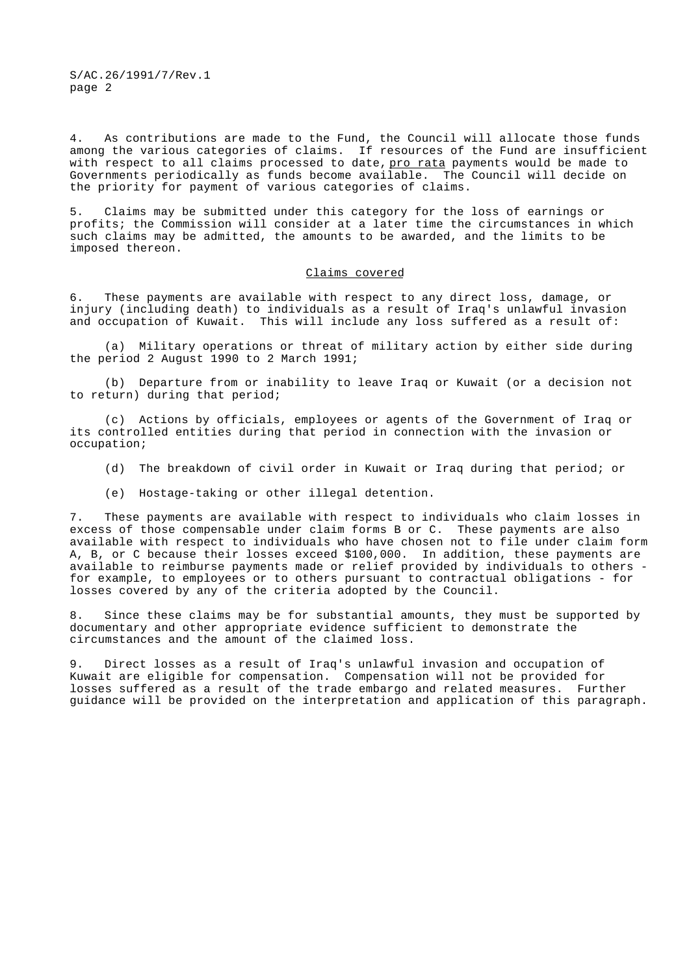4. As contributions are made to the Fund, the Council will allocate those funds among the various categories of claims. If resources of the Fund are insufficient with respect to all claims processed to date, pro rata payments would be made to Governments periodically as funds become available. The Council will decide on the priority for payment of various categories of claims.

5. Claims may be submitted under this category for the loss of earnings or profits; the Commission will consider at a later time the circumstances in which such claims may be admitted, the amounts to be awarded, and the limits to be imposed thereon.

#### Claims covered

6. These payments are available with respect to any direct loss, damage, or injury (including death) to individuals as a result of Iraq's unlawful invasion and occupation of Kuwait. This will include any loss suffered as a result of:

(a) Military operations or threat of military action by either side during the period 2 August 1990 to 2 March 1991;

(b) Departure from or inability to leave Iraq or Kuwait (or a decision not to return) during that period;

(c) Actions by officials, employees or agents of the Government of Iraq or its controlled entities during that period in connection with the invasion or occupation;

- (d) The breakdown of civil order in Kuwait or Iraq during that period; or
- (e) Hostage-taking or other illegal detention.

7. These payments are available with respect to individuals who claim losses in excess of those compensable under claim forms B or C. These payments are also available with respect to individuals who have chosen not to file under claim form A, B, or C because their losses exceed \$100,000. In addition, these payments are available to reimburse payments made or relief provided by individuals to others for example, to employees or to others pursuant to contractual obligations - for losses covered by any of the criteria adopted by the Council.

8. Since these claims may be for substantial amounts, they must be supported by documentary and other appropriate evidence sufficient to demonstrate the circumstances and the amount of the claimed loss.

9. Direct losses as a result of Iraq's unlawful invasion and occupation of Kuwait are eligible for compensation. Compensation will not be provided for losses suffered as a result of the trade embargo and related measures. Further guidance will be provided on the interpretation and application of this paragraph.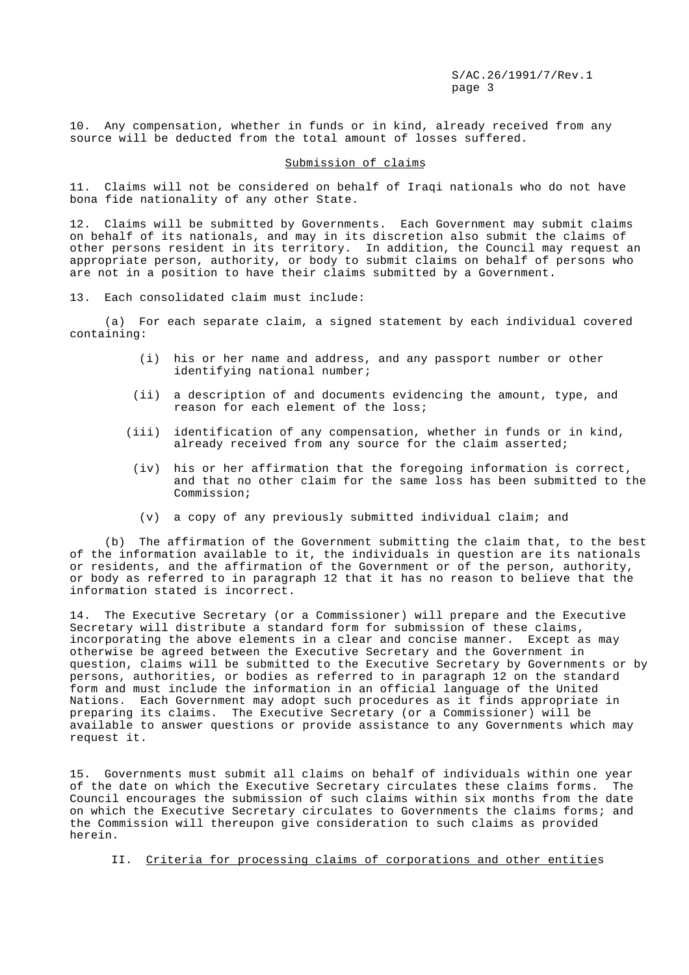10. Any compensation, whether in funds or in kind, already received from any source will be deducted from the total amount of losses suffered.

# Submission of claims

11. Claims will not be considered on behalf of Iraqi nationals who do not have bona fide nationality of any other State.

12. Claims will be submitted by Governments. Each Government may submit claims on behalf of its nationals, and may in its discretion also submit the claims of other persons resident in its territory. In addition, the Council may request an appropriate person, authority, or body to submit claims on behalf of persons who are not in a position to have their claims submitted by a Government.

13. Each consolidated claim must include:

(a) For each separate claim, a signed statement by each individual covered containing:

- (i) his or her name and address, and any passport number or other identifying national number;
- (ii) a description of and documents evidencing the amount, type, and reason for each element of the loss;
- (iii) identification of any compensation, whether in funds or in kind, already received from any source for the claim asserted;
	- (iv) his or her affirmation that the foregoing information is correct, and that no other claim for the same loss has been submitted to the Commission;
		- (v) a copy of any previously submitted individual claim; and

(b) The affirmation of the Government submitting the claim that, to the best of the information available to it, the individuals in question are its nationals or residents, and the affirmation of the Government or of the person, authority, or body as referred to in paragraph 12 that it has no reason to believe that the information stated is incorrect.

14. The Executive Secretary (or a Commissioner) will prepare and the Executive Secretary will distribute a standard form for submission of these claims, incorporating the above elements in a clear and concise manner. Except as may otherwise be agreed between the Executive Secretary and the Government in question, claims will be submitted to the Executive Secretary by Governments or by persons, authorities, or bodies as referred to in paragraph 12 on the standard form and must include the information in an official language of the United Nations. Each Government may adopt such procedures as it finds appropriate in preparing its claims. The Executive Secretary (or a Commissioner) will be available to answer questions or provide assistance to any Governments which may request it.

15. Governments must submit all claims on behalf of individuals within one year of the date on which the Executive Secretary circulates these claims forms. The Council encourages the submission of such claims within six months from the date on which the Executive Secretary circulates to Governments the claims forms; and the Commission will thereupon give consideration to such claims as provided herein.

II. Criteria for processing claims of corporations and other entities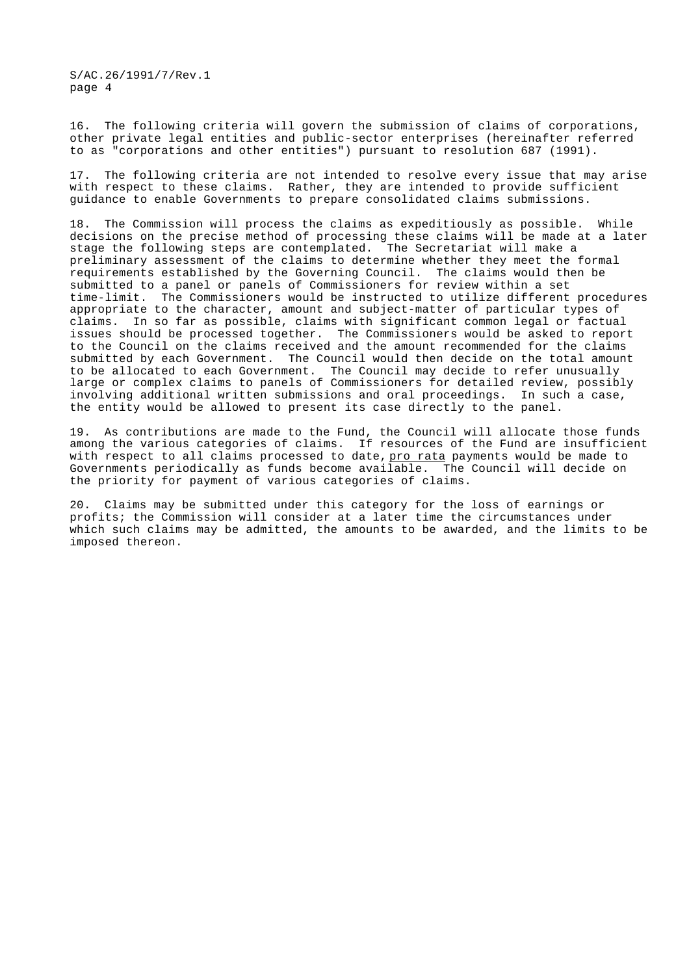16. The following criteria will govern the submission of claims of corporations, other private legal entities and public-sector enterprises (hereinafter referred to as "corporations and other entities") pursuant to resolution 687 (1991).

17. The following criteria are not intended to resolve every issue that may arise with respect to these claims. Rather, they are intended to provide sufficient guidance to enable Governments to prepare consolidated claims submissions.

18. The Commission will process the claims as expeditiously as possible. While decisions on the precise method of processing these claims will be made at a later stage the following steps are contemplated. The Secretariat will make a preliminary assessment of the claims to determine whether they meet the formal requirements established by the Governing Council. The claims would then be submitted to a panel or panels of Commissioners for review within a set time-limit. The Commissioners would be instructed to utilize different procedures appropriate to the character, amount and subject-matter of particular types of claims. In so far as possible, claims with significant common legal or factual issues should be processed together. The Commissioners would be asked to report to the Council on the claims received and the amount recommended for the claims submitted by each Government. The Council would then decide on the total amount to be allocated to each Government. The Council may decide to refer unusually large or complex claims to panels of Commissioners for detailed review, possibly involving additional written submissions and oral proceedings. In such a case, the entity would be allowed to present its case directly to the panel.

19. As contributions are made to the Fund, the Council will allocate those funds among the various categories of claims. If resources of the Fund are insufficient with respect to all claims processed to date, pro rata payments would be made to Governments periodically as funds become available. The Council will decide on the priority for payment of various categories of claims.

20. Claims may be submitted under this category for the loss of earnings or profits; the Commission will consider at a later time the circumstances under which such claims may be admitted, the amounts to be awarded, and the limits to be imposed thereon.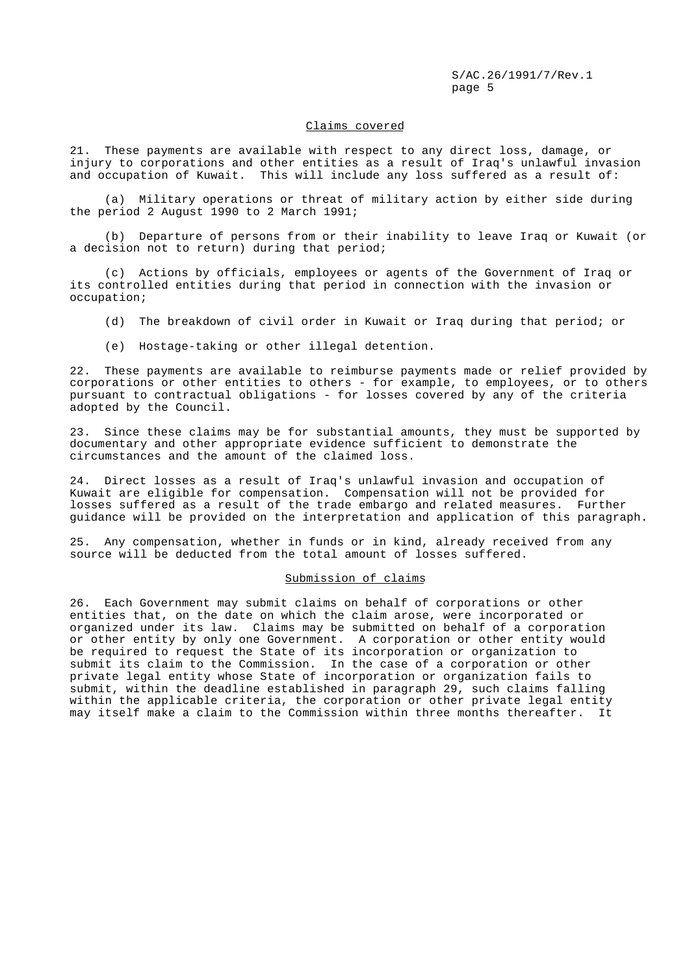#### Claims covered

21. These payments are available with respect to any direct loss, damage, or injury to corporations and other entities as a result of Iraq's unlawful invasion and occupation of Kuwait. This will include any loss suffered as a result of:

(a) Military operations or threat of military action by either side during the period 2 August 1990 to 2 March 1991;

(b) Departure of persons from or their inability to leave Iraq or Kuwait (or a decision not to return) during that period;

(c) Actions by officials, employees or agents of the Government of Iraq or its controlled entities during that period in connection with the invasion or occupation;

(d) The breakdown of civil order in Kuwait or Iraq during that period; or

(e) Hostage-taking or other illegal detention.

22. These payments are available to reimburse payments made or relief provided by corporations or other entities to others - for example, to employees, or to others pursuant to contractual obligations - for losses covered by any of the criteria adopted by the Council.

23. Since these claims may be for substantial amounts, they must be supported by documentary and other appropriate evidence sufficient to demonstrate the circumstances and the amount of the claimed loss.

24. Direct losses as a result of Iraq's unlawful invasion and occupation of Kuwait are eligible for compensation. Compensation will not be provided for losses suffered as a result of the trade embargo and related measures. Further guidance will be provided on the interpretation and application of this paragraph.

25. Any compensation, whether in funds or in kind, already received from any source will be deducted from the total amount of losses suffered.

### Submission of claims

26. Each Government may submit claims on behalf of corporations or other entities that, on the date on which the claim arose, were incorporated or organized under its law. Claims may be submitted on behalf of a corporation or other entity by only one Government. A corporation or other entity would be required to request the State of its incorporation or organization to submit its claim to the Commission. In the case of a corporation or other private legal entity whose State of incorporation or organization fails to submit, within the deadline established in paragraph 29, such claims falling within the applicable criteria, the corporation or other private legal entity may itself make a claim to the Commission within three months thereafter. It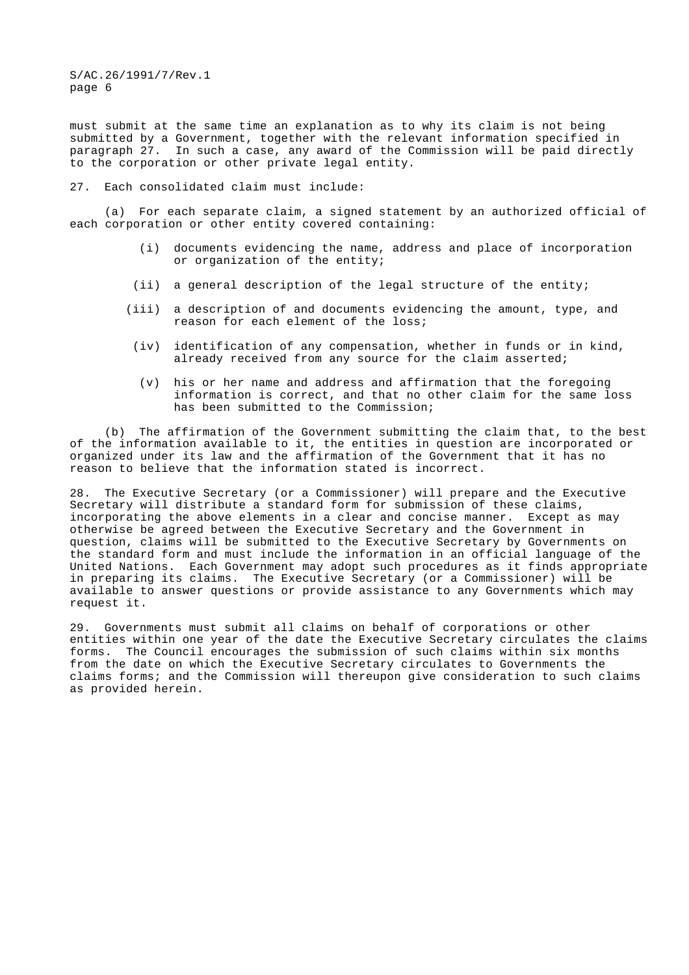must submit at the same time an explanation as to why its claim is not being submitted by a Government, together with the relevant information specified in paragraph 27. In such a case, any award of the Commission will be paid directly to the corporation or other private legal entity.

27. Each consolidated claim must include:

(a) For each separate claim, a signed statement by an authorized official of each corporation or other entity covered containing:

- (i) documents evidencing the name, address and place of incorporation or organization of the entity;
- (ii) a general description of the legal structure of the entity;
- (iii) a description of and documents evidencing the amount, type, and reason for each element of the loss;
	- (iv) identification of any compensation, whether in funds or in kind, already received from any source for the claim asserted;
		- (v) his or her name and address and affirmation that the foregoing information is correct, and that no other claim for the same loss has been submitted to the Commission;

(b) The affirmation of the Government submitting the claim that, to the best of the information available to it, the entities in question are incorporated or organized under its law and the affirmation of the Government that it has no reason to believe that the information stated is incorrect.

28. The Executive Secretary (or a Commissioner) will prepare and the Executive Secretary will distribute a standard form for submission of these claims, incorporating the above elements in a clear and concise manner. Except as may otherwise be agreed between the Executive Secretary and the Government in question, claims will be submitted to the Executive Secretary by Governments on the standard form and must include the information in an official language of the United Nations. Each Government may adopt such procedures as it finds appropriate in preparing its claims. The Executive Secretary (or a Commissioner) will be available to answer questions or provide assistance to any Governments which may request it.

29. Governments must submit all claims on behalf of corporations or other entities within one year of the date the Executive Secretary circulates the claims forms. The Council encourages the submission of such claims within six months from the date on which the Executive Secretary circulates to Governments the claims forms; and the Commission will thereupon give consideration to such claims as provided herein.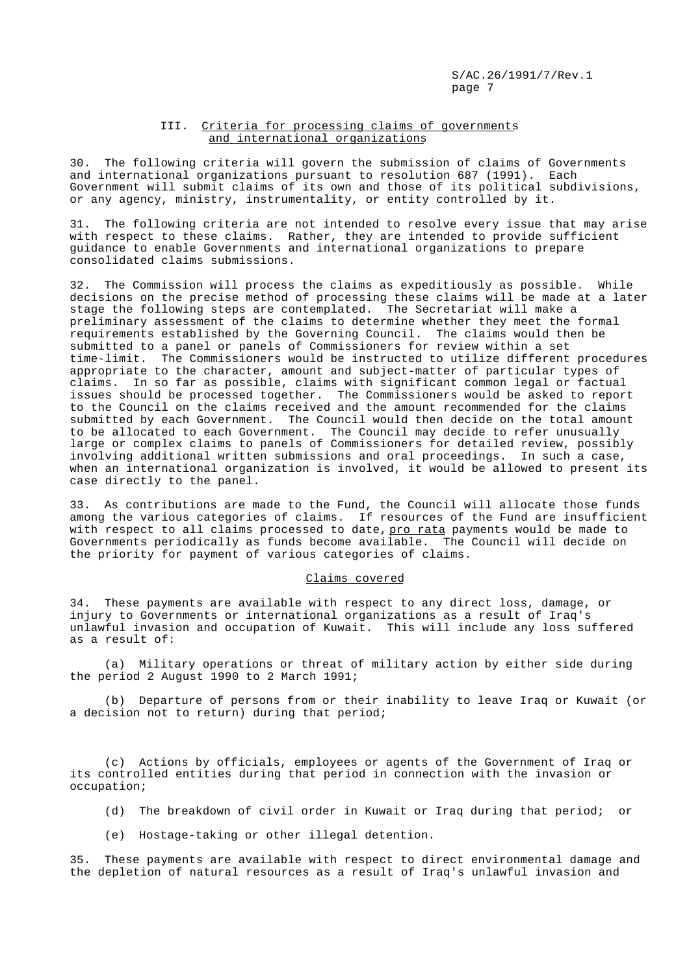#### III. Criteria for processing claims of governments and international organizations

30. The following criteria will govern the submission of claims of Governments and international organizations pursuant to resolution 687 (1991). Each Government will submit claims of its own and those of its political subdivisions, or any agency, ministry, instrumentality, or entity controlled by it.

31. The following criteria are not intended to resolve every issue that may arise with respect to these claims. Rather, they are intended to provide sufficient guidance to enable Governments and international organizations to prepare consolidated claims submissions.

The Commission will process the claims as expeditiously as possible. While decisions on the precise method of processing these claims will be made at a later stage the following steps are contemplated. The Secretariat will make a preliminary assessment of the claims to determine whether they meet the formal requirements established by the Governing Council. The claims would then be submitted to a panel or panels of Commissioners for review within a set time-limit. The Commissioners would be instructed to utilize different procedures appropriate to the character, amount and subject-matter of particular types of claims. In so far as possible, claims with significant common legal or factual issues should be processed together. The Commissioners would be asked to report to the Council on the claims received and the amount recommended for the claims submitted by each Government. The Council would then decide on the total amount to be allocated to each Government. The Council may decide to refer unusually large or complex claims to panels of Commissioners for detailed review, possibly involving additional written submissions and oral proceedings. In such a case, when an international organization is involved, it would be allowed to present its case directly to the panel.

33. As contributions are made to the Fund, the Council will allocate those funds among the various categories of claims. If resources of the Fund are insufficient with respect to all claims processed to date, pro rata payments would be made to Governments periodically as funds become available. The Council will decide on the priority for payment of various categories of claims.

#### Claims covered

34. These payments are available with respect to any direct loss, damage, or injury to Governments or international organizations as a result of Iraq's unlawful invasion and occupation of Kuwait. This will include any loss suffered as a result of:

(a) Military operations or threat of military action by either side during the period 2 August 1990 to 2 March 1991;

(b) Departure of persons from or their inability to leave Iraq or Kuwait (or a decision not to return) during that period;

(c) Actions by officials, employees or agents of the Government of Iraq or its controlled entities during that period in connection with the invasion or occupation;

(d) The breakdown of civil order in Kuwait or Iraq during that period; or

(e) Hostage-taking or other illegal detention.

35. These payments are available with respect to direct environmental damage and the depletion of natural resources as a result of Iraq's unlawful invasion and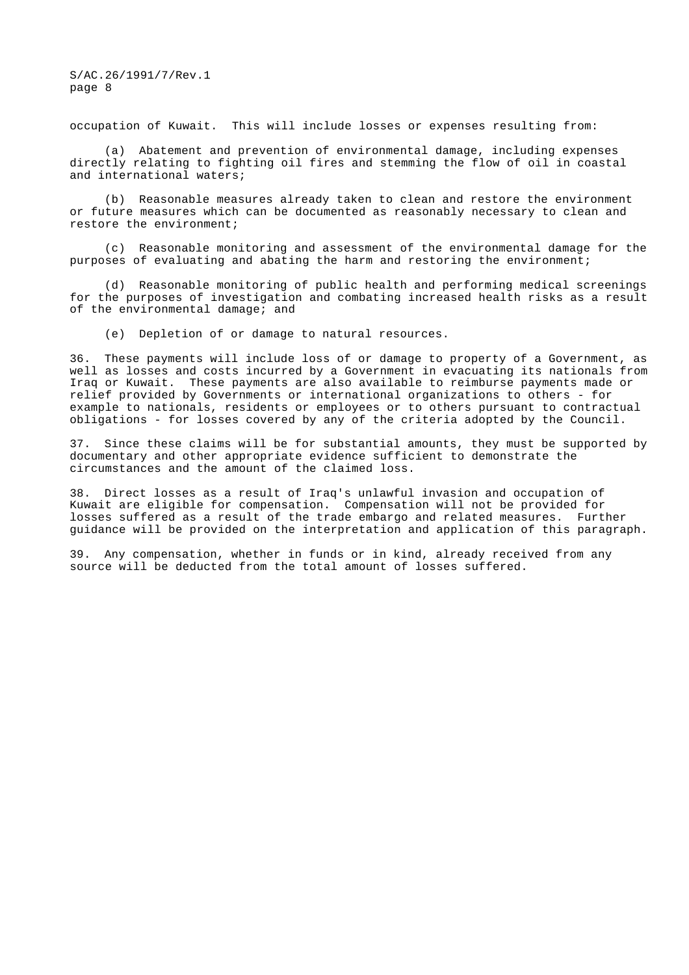occupation of Kuwait. This will include losses or expenses resulting from:

(a) Abatement and prevention of environmental damage, including expenses directly relating to fighting oil fires and stemming the flow of oil in coastal and international waters;

(b) Reasonable measures already taken to clean and restore the environment or future measures which can be documented as reasonably necessary to clean and restore the environment;

(c) Reasonable monitoring and assessment of the environmental damage for the purposes of evaluating and abating the harm and restoring the environment;

(d) Reasonable monitoring of public health and performing medical screenings for the purposes of investigation and combating increased health risks as a result of the environmental damage; and

(e) Depletion of or damage to natural resources.

36. These payments will include loss of or damage to property of a Government, as well as losses and costs incurred by a Government in evacuating its nationals from Iraq or Kuwait. These payments are also available to reimburse payments made or relief provided by Governments or international organizations to others - for example to nationals, residents or employees or to others pursuant to contractual obligations - for losses covered by any of the criteria adopted by the Council.

37. Since these claims will be for substantial amounts, they must be supported by documentary and other appropriate evidence sufficient to demonstrate the circumstances and the amount of the claimed loss.

38. Direct losses as a result of Iraq's unlawful invasion and occupation of Kuwait are eligible for compensation. Compensation will not be provided for losses suffered as a result of the trade embargo and related measures. Further guidance will be provided on the interpretation and application of this paragraph.

39. Any compensation, whether in funds or in kind, already received from any source will be deducted from the total amount of losses suffered.